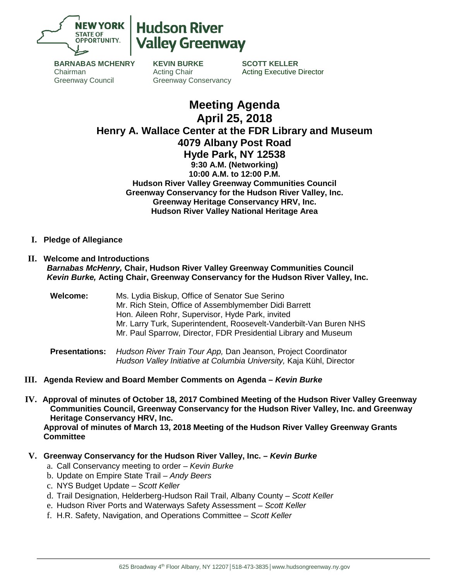

# **Hudson River Jalley Greenway**

**BARNABAS MCHENRY** Chairman Greenway Council

**KEVIN BURKE** Acting Chair Greenway Conservancy

**SCOTT KELLER** Acting Executive Director

## **Meeting Agenda April 25, 2018 Henry A. Wallace Center at the FDR Library and Museum 4079 Albany Post Road Hyde Park, NY 12538 9:30 A.M. (Networking) 10:00 A.M. to 12:00 P.M. Hudson River Valley Greenway Communities Council Greenway Conservancy for the Hudson River Valley, Inc. Greenway Heritage Conservancy HRV, Inc. Hudson River Valley National Heritage Area**

**I. Pledge of Allegiance**

#### **II. Welcome and Introductions** *Barnabas McHenry,* **Chair, Hudson River Valley Greenway Communities Council** *Kevin Burke,* **Acting Chair, Greenway Conservancy for the Hudson River Valley, Inc.**

**Welcome:** Ms. Lydia Biskup, Office of Senator Sue Serino Mr. Rich Stein, Office of Assemblymember Didi Barrett Hon. Aileen Rohr, Supervisor, Hyde Park, invited Mr. Larry Turk, Superintendent, Roosevelt-Vanderbilt-Van Buren NHS Mr. Paul Sparrow, Director, FDR Presidential Library and Museum

**Presentations:** *Hudson River Train Tour App,* Dan Jeanson, Project Coordinator *Hudson Valley Initiative at Columbia University,* Kaja Kühl, Director

- **III. Agenda Review and Board Member Comments on Agenda –** *Kevin Burke*
- **IV. Approval of minutes of October 18, 2017 Combined Meeting of the Hudson River Valley Greenway Communities Council, Greenway Conservancy for the Hudson River Valley, Inc. and Greenway Heritage Conservancy HRV, Inc.**

**Approval of minutes of March 13, 2018 Meeting of the Hudson River Valley Greenway Grants Committee**

- **V. Greenway Conservancy for the Hudson River Valley, Inc. –** *Kevin Burke*
	- a. Call Conservancy meeting to order *Kevin Burke*
	- b. Update on Empire State Trail *Andy Beers*
	- c. NYS Budget Update *Scott Keller*
	- d. Trail Designation, Helderberg-Hudson Rail Trail, Albany County *Scott Keller*
	- e. Hudson River Ports and Waterways Safety Assessment *Scott Keller*
	- f. H.R. Safety, Navigation, and Operations Committee *Scott Keller*